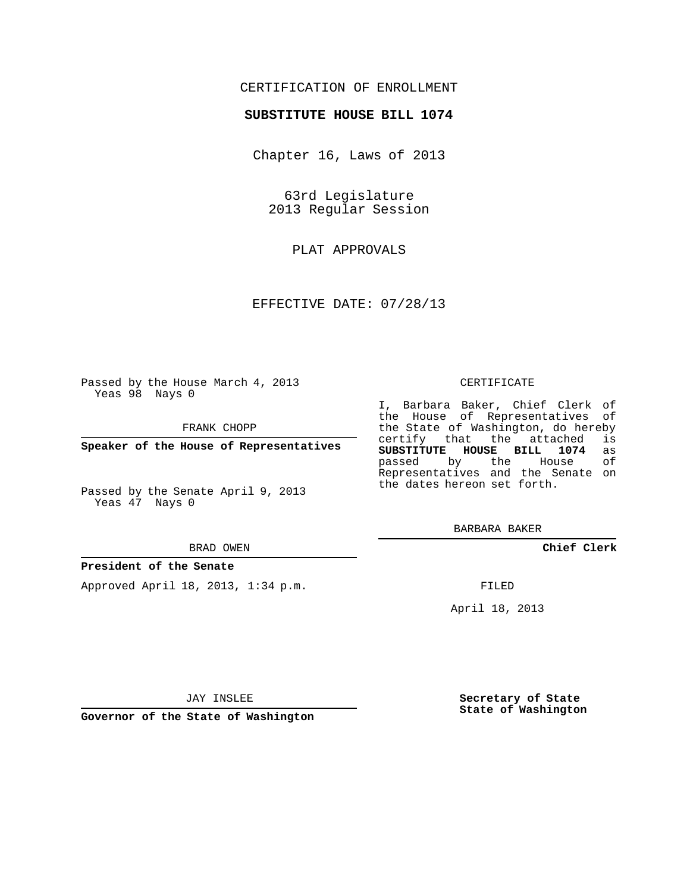# CERTIFICATION OF ENROLLMENT

### **SUBSTITUTE HOUSE BILL 1074**

Chapter 16, Laws of 2013

63rd Legislature 2013 Regular Session

PLAT APPROVALS

EFFECTIVE DATE: 07/28/13

Passed by the House March 4, 2013 Yeas 98 Nays 0

FRANK CHOPP

**Speaker of the House of Representatives**

Passed by the Senate April 9, 2013 Yeas 47 Nays 0

#### BRAD OWEN

#### **President of the Senate**

Approved April 18, 2013, 1:34 p.m.

#### CERTIFICATE

I, Barbara Baker, Chief Clerk of the House of Representatives of the State of Washington, do hereby<br>certify that the attached is certify that the attached is<br>SUBSTITUTE HOUSE BILL 1074 as **SUBSTITUTE HOUSE BILL 1074** as passed by the House Representatives and the Senate on the dates hereon set forth.

BARBARA BAKER

**Chief Clerk**

FILED

April 18, 2013

JAY INSLEE

**Governor of the State of Washington**

**Secretary of State State of Washington**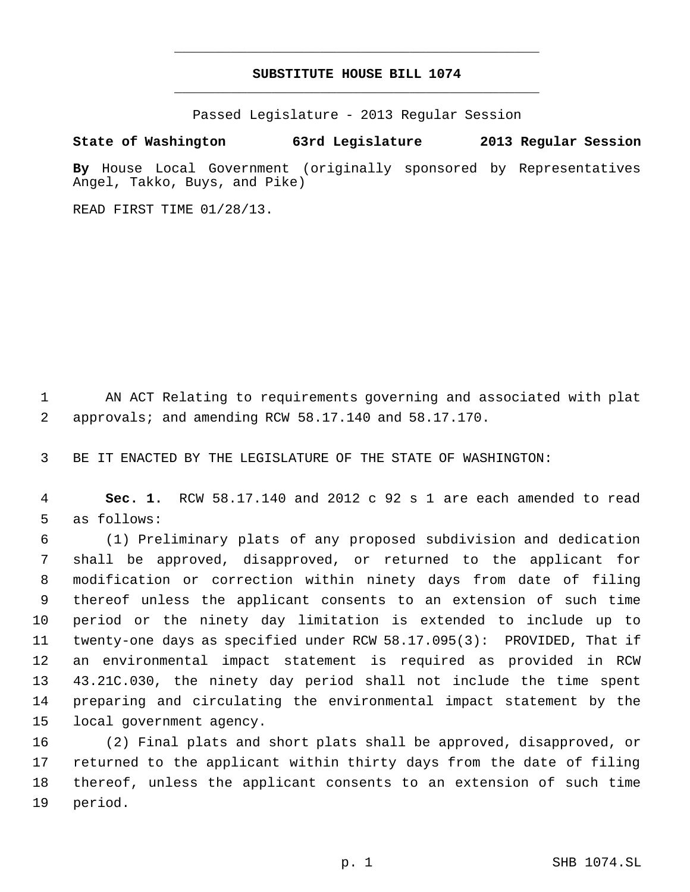# **SUBSTITUTE HOUSE BILL 1074** \_\_\_\_\_\_\_\_\_\_\_\_\_\_\_\_\_\_\_\_\_\_\_\_\_\_\_\_\_\_\_\_\_\_\_\_\_\_\_\_\_\_\_\_\_

\_\_\_\_\_\_\_\_\_\_\_\_\_\_\_\_\_\_\_\_\_\_\_\_\_\_\_\_\_\_\_\_\_\_\_\_\_\_\_\_\_\_\_\_\_

Passed Legislature - 2013 Regular Session

# **State of Washington 63rd Legislature 2013 Regular Session**

**By** House Local Government (originally sponsored by Representatives Angel, Takko, Buys, and Pike)

READ FIRST TIME 01/28/13.

 AN ACT Relating to requirements governing and associated with plat approvals; and amending RCW 58.17.140 and 58.17.170.

BE IT ENACTED BY THE LEGISLATURE OF THE STATE OF WASHINGTON:

 **Sec. 1.** RCW 58.17.140 and 2012 c 92 s 1 are each amended to read as follows:

 (1) Preliminary plats of any proposed subdivision and dedication shall be approved, disapproved, or returned to the applicant for modification or correction within ninety days from date of filing thereof unless the applicant consents to an extension of such time period or the ninety day limitation is extended to include up to twenty-one days as specified under RCW 58.17.095(3): PROVIDED, That if an environmental impact statement is required as provided in RCW 43.21C.030, the ninety day period shall not include the time spent preparing and circulating the environmental impact statement by the local government agency.

 (2) Final plats and short plats shall be approved, disapproved, or returned to the applicant within thirty days from the date of filing thereof, unless the applicant consents to an extension of such time period.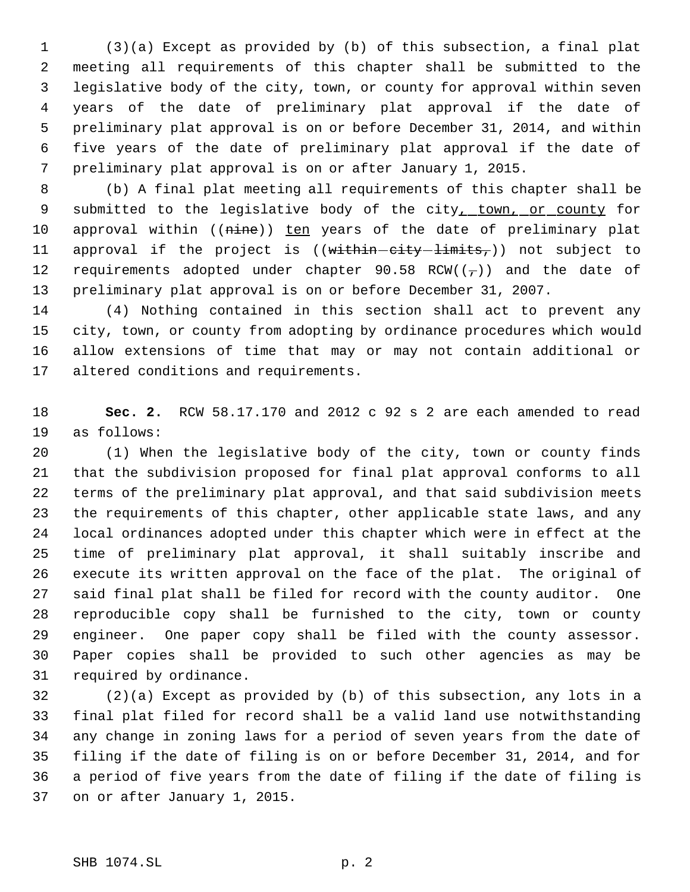(3)(a) Except as provided by (b) of this subsection, a final plat meeting all requirements of this chapter shall be submitted to the legislative body of the city, town, or county for approval within seven years of the date of preliminary plat approval if the date of preliminary plat approval is on or before December 31, 2014, and within five years of the date of preliminary plat approval if the date of preliminary plat approval is on or after January 1, 2015.

 (b) A final plat meeting all requirements of this chapter shall be 9 submitted to the legislative body of the city, town, or county for 10 approval within ((nine)) ten years of the date of preliminary plat 11 approval if the project is  $((within–city-limits<sub>r</sub>))$  not subject to 12 requirements adopted under chapter 90.58 RCW( $(\tau)$ ) and the date of preliminary plat approval is on or before December 31, 2007.

 (4) Nothing contained in this section shall act to prevent any city, town, or county from adopting by ordinance procedures which would allow extensions of time that may or may not contain additional or altered conditions and requirements.

 **Sec. 2.** RCW 58.17.170 and 2012 c 92 s 2 are each amended to read as follows:

 (1) When the legislative body of the city, town or county finds that the subdivision proposed for final plat approval conforms to all terms of the preliminary plat approval, and that said subdivision meets the requirements of this chapter, other applicable state laws, and any local ordinances adopted under this chapter which were in effect at the time of preliminary plat approval, it shall suitably inscribe and execute its written approval on the face of the plat. The original of said final plat shall be filed for record with the county auditor. One reproducible copy shall be furnished to the city, town or county engineer. One paper copy shall be filed with the county assessor. Paper copies shall be provided to such other agencies as may be required by ordinance.

 (2)(a) Except as provided by (b) of this subsection, any lots in a final plat filed for record shall be a valid land use notwithstanding any change in zoning laws for a period of seven years from the date of filing if the date of filing is on or before December 31, 2014, and for a period of five years from the date of filing if the date of filing is on or after January 1, 2015.